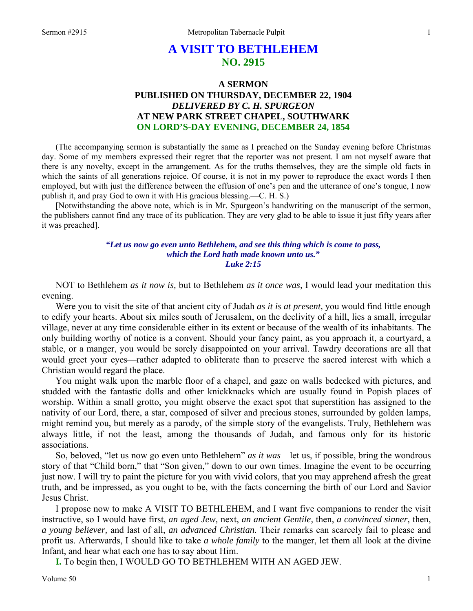# **A VISIT TO BETHLEHEM NO. 2915**

# **A SERMON PUBLISHED ON THURSDAY, DECEMBER 22, 1904**  *DELIVERED BY C. H. SPURGEON*  **AT NEW PARK STREET CHAPEL, SOUTHWARK ON LORD'S-DAY EVENING, DECEMBER 24, 1854**

(The accompanying sermon is substantially the same as I preached on the Sunday evening before Christmas day. Some of my members expressed their regret that the reporter was not present. I am not myself aware that there is any novelty, except in the arrangement. As for the truths themselves, they are the simple old facts in which the saints of all generations rejoice. Of course, it is not in my power to reproduce the exact words I then employed, but with just the difference between the effusion of one's pen and the utterance of one's tongue, I now publish it, and pray God to own it with His gracious blessing.—C. H. S.)

[Notwithstanding the above note, which is in Mr. Spurgeon's handwriting on the manuscript of the sermon, the publishers cannot find any trace of its publication. They are very glad to be able to issue it just fifty years after it was preached].

> *"Let us now go even unto Bethlehem, and see this thing which is come to pass, which the Lord hath made known unto us." Luke 2:15*

NOT to Bethlehem *as it now is,* but to Bethlehem *as it once was,* I would lead your meditation this evening.

Were you to visit the site of that ancient city of Judah *as it is at present,* you would find little enough to edify your hearts. About six miles south of Jerusalem, on the declivity of a hill, lies a small, irregular village, never at any time considerable either in its extent or because of the wealth of its inhabitants. The only building worthy of notice is a convent. Should your fancy paint, as you approach it, a courtyard, a stable, or a manger, you would be sorely disappointed on your arrival. Tawdry decorations are all that would greet your eyes—rather adapted to obliterate than to preserve the sacred interest with which a Christian would regard the place.

You might walk upon the marble floor of a chapel, and gaze on walls bedecked with pictures, and studded with the fantastic dolls and other knickknacks which are usually found in Popish places of worship. Within a small grotto, you might observe the exact spot that superstition has assigned to the nativity of our Lord, there, a star, composed of silver and precious stones, surrounded by golden lamps, might remind you, but merely as a parody, of the simple story of the evangelists. Truly, Bethlehem was always little, if not the least, among the thousands of Judah, and famous only for its historic associations.

So, beloved, "let us now go even unto Bethlehem" *as it was*—let us, if possible, bring the wondrous story of that "Child born," that "Son given," down to our own times. Imagine the event to be occurring just now. I will try to paint the picture for you with vivid colors, that you may apprehend afresh the great truth, and be impressed, as you ought to be, with the facts concerning the birth of our Lord and Savior Jesus Christ.

I propose now to make A VISIT TO BETHLEHEM, and I want five companions to render the visit instructive, so I would have first, *an aged Jew,* next, *an ancient Gentile,* then, *a convinced sinner,* then, *a young believer,* and last of all, *an advanced Christian*. Their remarks can scarcely fail to please and profit us. Afterwards, I should like to take *a whole family* to the manger, let them all look at the divine Infant, and hear what each one has to say about Him.

**I.** To begin then, I WOULD GO TO BETHLEHEM WITH AN AGED JEW.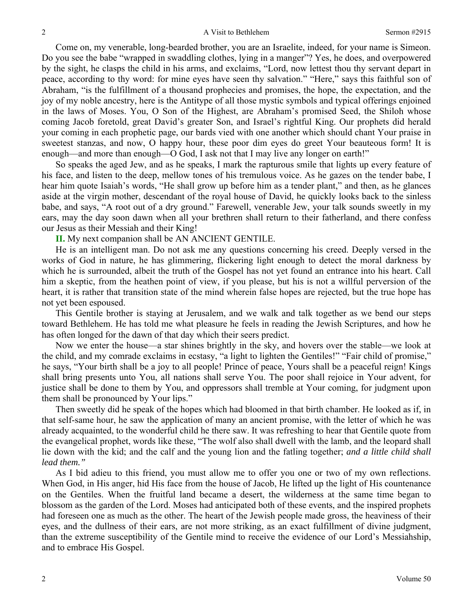Come on, my venerable, long-bearded brother, you are an Israelite, indeed, for your name is Simeon. Do you see the babe "wrapped in swaddling clothes, lying in a manger"? Yes, he does, and overpowered by the sight, he clasps the child in his arms, and exclaims, "Lord, now lettest thou thy servant depart in peace, according to thy word: for mine eyes have seen thy salvation." "Here," says this faithful son of Abraham, "is the fulfillment of a thousand prophecies and promises, the hope, the expectation, and the joy of my noble ancestry, here is the Antitype of all those mystic symbols and typical offerings enjoined in the laws of Moses. You, O Son of the Highest, are Abraham's promised Seed, the Shiloh whose coming Jacob foretold, great David's greater Son, and Israel's rightful King. Our prophets did herald your coming in each prophetic page, our bards vied with one another which should chant Your praise in sweetest stanzas, and now, O happy hour, these poor dim eyes do greet Your beauteous form! It is enough—and more than enough—O God, I ask not that I may live any longer on earth!"

So speaks the aged Jew, and as he speaks, I mark the rapturous smile that lights up every feature of his face, and listen to the deep, mellow tones of his tremulous voice. As he gazes on the tender babe, I hear him quote Isaiah's words, "He shall grow up before him as a tender plant," and then, as he glances aside at the virgin mother, descendant of the royal house of David, he quickly looks back to the sinless babe, and says, "A root out of a dry ground." Farewell, venerable Jew, your talk sounds sweetly in my ears, may the day soon dawn when all your brethren shall return to their fatherland, and there confess our Jesus as their Messiah and their King!

**II.** My next companion shall be AN ANCIENT GENTILE.

He is an intelligent man. Do not ask me any questions concerning his creed. Deeply versed in the works of God in nature, he has glimmering, flickering light enough to detect the moral darkness by which he is surrounded, albeit the truth of the Gospel has not yet found an entrance into his heart. Call him a skeptic, from the heathen point of view, if you please, but his is not a willful perversion of the heart, it is rather that transition state of the mind wherein false hopes are rejected, but the true hope has not yet been espoused.

This Gentile brother is staying at Jerusalem, and we walk and talk together as we bend our steps toward Bethlehem. He has told me what pleasure he feels in reading the Jewish Scriptures, and how he has often longed for the dawn of that day which their seers predict.

Now we enter the house—a star shines brightly in the sky, and hovers over the stable—we look at the child, and my comrade exclaims in ecstasy, "a light to lighten the Gentiles!" "Fair child of promise," he says, "Your birth shall be a joy to all people! Prince of peace, Yours shall be a peaceful reign! Kings shall bring presents unto You, all nations shall serve You. The poor shall rejoice in Your advent, for justice shall be done to them by You, and oppressors shall tremble at Your coming, for judgment upon them shall be pronounced by Your lips."

Then sweetly did he speak of the hopes which had bloomed in that birth chamber. He looked as if, in that self-same hour, he saw the application of many an ancient promise, with the letter of which he was already acquainted, to the wonderful child he there saw. It was refreshing to hear that Gentile quote from the evangelical prophet, words like these, "The wolf also shall dwell with the lamb, and the leopard shall lie down with the kid; and the calf and the young lion and the fatling together; *and a little child shall lead them."*

As I bid adieu to this friend, you must allow me to offer you one or two of my own reflections. When God, in His anger, hid His face from the house of Jacob, He lifted up the light of His countenance on the Gentiles. When the fruitful land became a desert, the wilderness at the same time began to blossom as the garden of the Lord. Moses had anticipated both of these events, and the inspired prophets had foreseen one as much as the other. The heart of the Jewish people made gross, the heaviness of their eyes, and the dullness of their ears, are not more striking, as an exact fulfillment of divine judgment, than the extreme susceptibility of the Gentile mind to receive the evidence of our Lord's Messiahship, and to embrace His Gospel.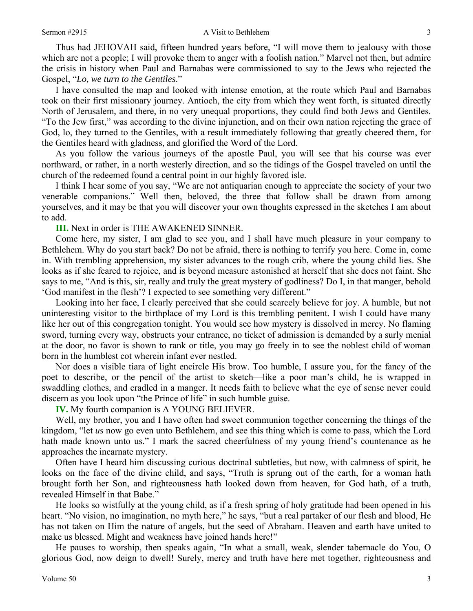#### Sermon #2915 **A** Visit to Bethlehem 3

Thus had JEHOVAH said, fifteen hundred years before, "I will move them to jealousy with those which are not a people; I will provoke them to anger with a foolish nation." Marvel not then, but admire the crisis in history when Paul and Barnabas were commissioned to say to the Jews who rejected the Gospel, "*Lo, we turn to the Gentiles*."

I have consulted the map and looked with intense emotion, at the route which Paul and Barnabas took on their first missionary journey. Antioch, the city from which they went forth, is situated directly North of Jerusalem, and there, in no very unequal proportions, they could find both Jews and Gentiles. "To the Jew first," was according to the divine injunction, and on their own nation rejecting the grace of God, lo, they turned to the Gentiles, with a result immediately following that greatly cheered them, for the Gentiles heard with gladness, and glorified the Word of the Lord.

As you follow the various journeys of the apostle Paul, you will see that his course was ever northward, or rather, in a north westerly direction, and so the tidings of the Gospel traveled on until the church of the redeemed found a central point in our highly favored isle.

I think I hear some of you say, "We are not antiquarian enough to appreciate the society of your two venerable companions." Well then, beloved, the three that follow shall be drawn from among yourselves, and it may be that you will discover your own thoughts expressed in the sketches I am about to add.

#### **III.** Next in order is THE AWAKENED SINNER.

Come here, my sister, I am glad to see you, and I shall have much pleasure in your company to Bethlehem. Why do you start back? Do not be afraid, there is nothing to terrify you here. Come in, come in. With trembling apprehension, my sister advances to the rough crib, where the young child lies. She looks as if she feared to rejoice, and is beyond measure astonished at herself that she does not faint. She says to me, "And is this, sir, really and truly the great mystery of godliness? Do I, in that manger, behold 'God manifest in the flesh'? I expected to see something very different."

Looking into her face, I clearly perceived that she could scarcely believe for joy. A humble, but not uninteresting visitor to the birthplace of my Lord is this trembling penitent. I wish I could have many like her out of this congregation tonight. You would see how mystery is dissolved in mercy. No flaming sword, turning every way, obstructs your entrance, no ticket of admission is demanded by a surly menial at the door, no favor is shown to rank or title, you may go freely in to see the noblest child of woman born in the humblest cot wherein infant ever nestled.

Nor does a visible tiara of light encircle His brow. Too humble, I assure you, for the fancy of the poet to describe, or the pencil of the artist to sketch—like a poor man's child, he is wrapped in swaddling clothes, and cradled in a manger. It needs faith to believe what the eye of sense never could discern as you look upon "the Prince of life" in such humble guise.

**IV.** My fourth companion is A YOUNG BELIEVER.

Well, my brother, you and I have often had sweet communion together concerning the things of the kingdom, "let *us* now go even unto Bethlehem, and see this thing which is come to pass, which the Lord hath made known unto us." I mark the sacred cheerfulness of my young friend's countenance as he approaches the incarnate mystery.

Often have I heard him discussing curious doctrinal subtleties, but now, with calmness of spirit, he looks on the face of the divine child, and says, "Truth is sprung out of the earth, for a woman hath brought forth her Son, and righteousness hath looked down from heaven, for God hath, of a truth, revealed Himself in that Babe."

He looks so wistfully at the young child, as if a fresh spring of holy gratitude had been opened in his heart. "No vision, no imagination, no myth here," he says, "but a real partaker of our flesh and blood, He has not taken on Him the nature of angels, but the seed of Abraham. Heaven and earth have united to make us blessed. Might and weakness have joined hands here!"

He pauses to worship, then speaks again, "In what a small, weak, slender tabernacle do You, O glorious God, now deign to dwell! Surely, mercy and truth have here met together, righteousness and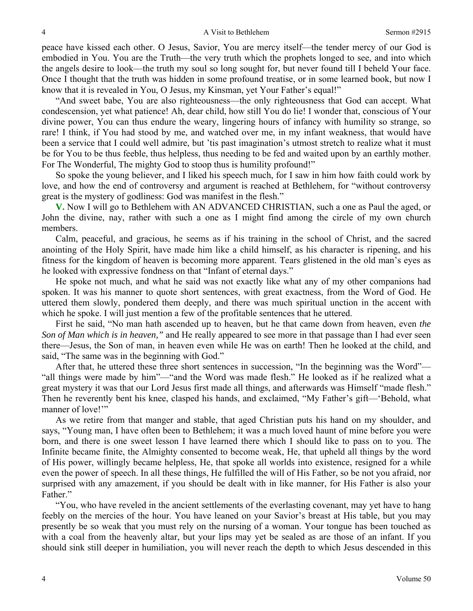peace have kissed each other. O Jesus, Savior, You are mercy itself—the tender mercy of our God is embodied in You. You are the Truth—the very truth which the prophets longed to see, and into which the angels desire to look—the truth my soul so long sought for, but never found till I beheld Your face. Once I thought that the truth was hidden in some profound treatise, or in some learned book, but now I know that it is revealed in You, O Jesus, my Kinsman, yet Your Father's equal!"

"And sweet babe, You are also righteousness—the only righteousness that God can accept. What condescension, yet what patience! Ah, dear child, how still You do lie! I wonder that, conscious of Your divine power, You can thus endure the weary, lingering hours of infancy with humility so strange, so rare! I think, if You had stood by me, and watched over me, in my infant weakness, that would have been a service that I could well admire, but 'tis past imagination's utmost stretch to realize what it must be for You to be thus feeble, thus helpless, thus needing to be fed and waited upon by an earthly mother. For The Wonderful, The mighty God to stoop thus is humility profound!"

So spoke the young believer, and I liked his speech much, for I saw in him how faith could work by love, and how the end of controversy and argument is reached at Bethlehem, for "without controversy great is the mystery of godliness: God was manifest in the flesh."

**V.** Now I will go to Bethlehem with AN ADVANCED CHRISTIAN, such a one as Paul the aged, or John the divine, nay, rather with such a one as I might find among the circle of my own church members.

Calm, peaceful, and gracious, he seems as if his training in the school of Christ, and the sacred anointing of the Holy Spirit, have made him like a child himself, as his character is ripening, and his fitness for the kingdom of heaven is becoming more apparent. Tears glistened in the old man's eyes as he looked with expressive fondness on that "Infant of eternal days."

He spoke not much, and what he said was not exactly like what any of my other companions had spoken. It was his manner to quote short sentences, with great exactness, from the Word of God. He uttered them slowly, pondered them deeply, and there was much spiritual unction in the accent with which he spoke. I will just mention a few of the profitable sentences that he uttered.

First he said, "No man hath ascended up to heaven, but he that came down from heaven, even *the Son of Man which is in heaven,"* and He really appeared to see more in that passage than I had ever seen there—Jesus, the Son of man, in heaven even while He was on earth! Then he looked at the child, and said, "The same was in the beginning with God."

After that, he uttered these three short sentences in succession, "In the beginning was the Word"— "all things were made by him"—"and the Word was made flesh." He looked as if he realized what a great mystery it was that our Lord Jesus first made all things, and afterwards was Himself "made flesh." Then he reverently bent his knee, clasped his hands, and exclaimed, "My Father's gift—'Behold, what manner of love!"

As we retire from that manger and stable, that aged Christian puts his hand on my shoulder, and says, "Young man, I have often been to Bethlehem; it was a much loved haunt of mine before you were born, and there is one sweet lesson I have learned there which I should like to pass on to you. The Infinite became finite, the Almighty consented to become weak, He, that upheld all things by the word of His power, willingly became helpless, He, that spoke all worlds into existence, resigned for a while even the power of speech. In all these things, He fulfilled the will of His Father, so be not you afraid, nor surprised with any amazement, if you should be dealt with in like manner, for His Father is also your Father."

"You, who have reveled in the ancient settlements of the everlasting covenant, may yet have to hang feebly on the mercies of the hour. You have leaned on your Savior's breast at His table, but you may presently be so weak that you must rely on the nursing of a woman. Your tongue has been touched as with a coal from the heavenly altar, but your lips may yet be sealed as are those of an infant. If you should sink still deeper in humiliation, you will never reach the depth to which Jesus descended in this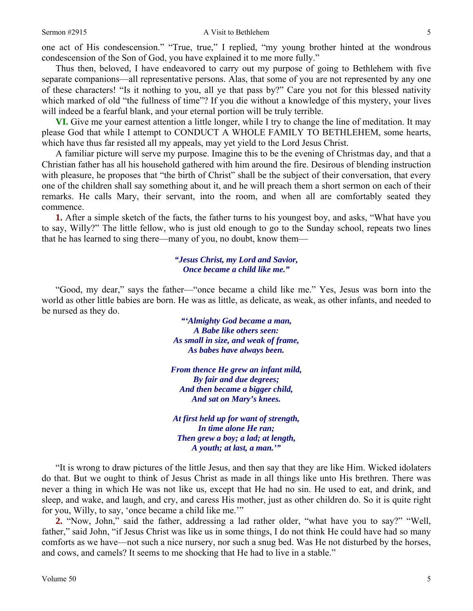one act of His condescension." "True, true," I replied, "my young brother hinted at the wondrous condescension of the Son of God, you have explained it to me more fully."

Thus then, beloved, I have endeavored to carry out my purpose of going to Bethlehem with five separate companions—all representative persons. Alas, that some of you are not represented by any one of these characters! "Is it nothing to you, all ye that pass by?" Care you not for this blessed nativity which marked of old "the fullness of time"? If you die without a knowledge of this mystery, your lives will indeed be a fearful blank, and your eternal portion will be truly terrible.

**VI.** Give me your earnest attention a little longer, while I try to change the line of meditation. It may please God that while I attempt to CONDUCT A WHOLE FAMILY TO BETHLEHEM, some hearts, which have thus far resisted all my appeals, may yet yield to the Lord Jesus Christ.

A familiar picture will serve my purpose. Imagine this to be the evening of Christmas day, and that a Christian father has all his household gathered with him around the fire. Desirous of blending instruction with pleasure, he proposes that "the birth of Christ" shall be the subject of their conversation, that every one of the children shall say something about it, and he will preach them a short sermon on each of their remarks. He calls Mary, their servant, into the room, and when all are comfortably seated they commence.

**1.** After a simple sketch of the facts, the father turns to his youngest boy, and asks, "What have you to say, Willy?" The little fellow, who is just old enough to go to the Sunday school, repeats two lines that he has learned to sing there—many of you, no doubt, know them—

### *"Jesus Christ, my Lord and Savior, Once became a child like me."*

"Good, my dear," says the father—"once became a child like me." Yes, Jesus was born into the world as other little babies are born. He was as little, as delicate, as weak, as other infants, and needed to be nursed as they do.

> *"'Almighty God became a man, A Babe like others seen: As small in size, and weak of frame, As babes have always been.*

*From thence He grew an infant mild, By fair and due degrees; And then became a bigger child, And sat on Mary's knees.* 

*At first held up for want of strength, In time alone He ran; Then grew a boy; a lad; at length, A youth; at last, a man.'"* 

"It is wrong to draw pictures of the little Jesus, and then say that they are like Him. Wicked idolaters do that. But we ought to think of Jesus Christ as made in all things like unto His brethren. There was never a thing in which He was not like us, except that He had no sin. He used to eat, and drink, and sleep, and wake, and laugh, and cry, and caress His mother, just as other children do. So it is quite right for you, Willy, to say, 'once became a child like me.'"

**2.** "Now, John," said the father, addressing a lad rather older, "what have you to say?" "Well, father," said John, "if Jesus Christ was like us in some things, I do not think He could have had so many comforts as we have—not such a nice nursery, nor such a snug bed. Was He not disturbed by the horses, and cows, and camels? It seems to me shocking that He had to live in a stable."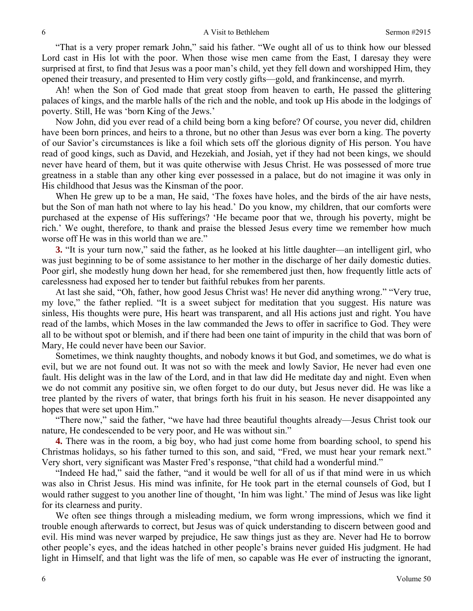"That is a very proper remark John," said his father. "We ought all of us to think how our blessed Lord cast in His lot with the poor. When those wise men came from the East, I daresay they were surprised at first, to find that Jesus was a poor man's child, yet they fell down and worshipped Him, they opened their treasury, and presented to Him very costly gifts—gold, and frankincense, and myrrh.

Ah! when the Son of God made that great stoop from heaven to earth, He passed the glittering palaces of kings, and the marble halls of the rich and the noble, and took up His abode in the lodgings of poverty. Still, He was 'born King of the Jews.'

Now John, did you ever read of a child being born a king before? Of course, you never did, children have been born princes, and heirs to a throne, but no other than Jesus was ever born a king. The poverty of our Savior's circumstances is like a foil which sets off the glorious dignity of His person. You have read of good kings, such as David, and Hezekiah, and Josiah, yet if they had not been kings, we should never have heard of them, but it was quite otherwise with Jesus Christ. He was possessed of more true greatness in a stable than any other king ever possessed in a palace, but do not imagine it was only in His childhood that Jesus was the Kinsman of the poor.

When He grew up to be a man, He said, 'The foxes have holes, and the birds of the air have nests, but the Son of man hath not where to lay his head.' Do you know, my children, that our comforts were purchased at the expense of His sufferings? 'He became poor that we, through his poverty, might be rich.' We ought, therefore, to thank and praise the blessed Jesus every time we remember how much worse off He was in this world than we are."

**3.** "It is your turn now," said the father, as he looked at his little daughter—an intelligent girl, who was just beginning to be of some assistance to her mother in the discharge of her daily domestic duties. Poor girl, she modestly hung down her head, for she remembered just then, how frequently little acts of carelessness had exposed her to tender but faithful rebukes from her parents.

At last she said, "Oh, father, how good Jesus Christ was! He never did anything wrong." "Very true, my love," the father replied. "It is a sweet subject for meditation that you suggest. His nature was sinless, His thoughts were pure, His heart was transparent, and all His actions just and right. You have read of the lambs, which Moses in the law commanded the Jews to offer in sacrifice to God. They were all to be without spot or blemish, and if there had been one taint of impurity in the child that was born of Mary, He could never have been our Savior.

Sometimes, we think naughty thoughts, and nobody knows it but God, and sometimes, we do what is evil, but we are not found out. It was not so with the meek and lowly Savior, He never had even one fault. His delight was in the law of the Lord, and in that law did He meditate day and night. Even when we do not commit any positive sin, we often forget to do our duty, but Jesus never did. He was like a tree planted by the rivers of water, that brings forth his fruit in his season. He never disappointed any hopes that were set upon Him."

"There now," said the father, "we have had three beautiful thoughts already—Jesus Christ took our nature, He condescended to be very poor, and He was without sin."

**4.** There was in the room, a big boy, who had just come home from boarding school, to spend his Christmas holidays, so his father turned to this son, and said, "Fred, we must hear your remark next." Very short, very significant was Master Fred's response, "that child had a wonderful mind."

"Indeed He had," said the father, "and it would be well for all of us if that mind were in us which was also in Christ Jesus. His mind was infinite, for He took part in the eternal counsels of God, but I would rather suggest to you another line of thought, 'In him was light.' The mind of Jesus was like light for its clearness and purity.

We often see things through a misleading medium, we form wrong impressions, which we find it trouble enough afterwards to correct, but Jesus was of quick understanding to discern between good and evil. His mind was never warped by prejudice, He saw things just as they are. Never had He to borrow other people's eyes, and the ideas hatched in other people's brains never guided His judgment. He had light in Himself, and that light was the life of men, so capable was He ever of instructing the ignorant,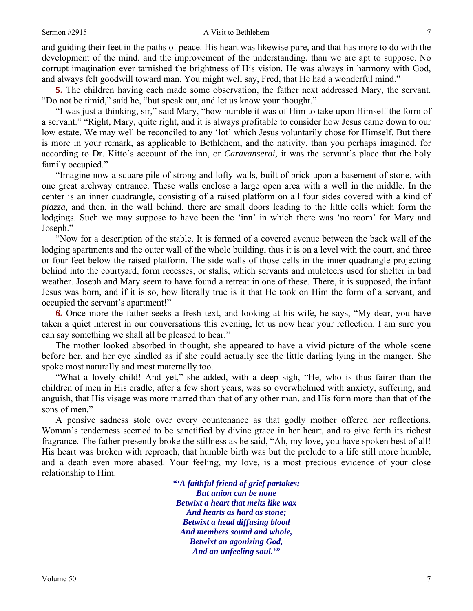and guiding their feet in the paths of peace. His heart was likewise pure, and that has more to do with the development of the mind, and the improvement of the understanding, than we are apt to suppose. No corrupt imagination ever tarnished the brightness of His vision. He was always in harmony with God, and always felt goodwill toward man. You might well say, Fred, that He had a wonderful mind."

**5.** The children having each made some observation, the father next addressed Mary, the servant. "Do not be timid," said he, "but speak out, and let us know your thought."

"I was just a-thinking, sir," said Mary, "how humble it was of Him to take upon Himself the form of a servant." "Right, Mary, quite right, and it is always profitable to consider how Jesus came down to our low estate. We may well be reconciled to any 'lot' which Jesus voluntarily chose for Himself. But there is more in your remark, as applicable to Bethlehem, and the nativity, than you perhaps imagined, for according to Dr. Kitto's account of the inn, or *Caravanserai,* it was the servant's place that the holy family occupied."

"Imagine now a square pile of strong and lofty walls, built of brick upon a basement of stone, with one great archway entrance. These walls enclose a large open area with a well in the middle. In the center is an inner quadrangle, consisting of a raised platform on all four sides covered with a kind of *piazza,* and then, in the wall behind, there are small doors leading to the little cells which form the lodgings. Such we may suppose to have been the 'inn' in which there was 'no room' for Mary and Joseph."

"Now for a description of the stable. It is formed of a covered avenue between the back wall of the lodging apartments and the outer wall of the whole building, thus it is on a level with the court, and three or four feet below the raised platform. The side walls of those cells in the inner quadrangle projecting behind into the courtyard, form recesses, or stalls, which servants and muleteers used for shelter in bad weather. Joseph and Mary seem to have found a retreat in one of these. There, it is supposed, the infant Jesus was born, and if it is so, how literally true is it that He took on Him the form of a servant, and occupied the servant's apartment!"

**6.** Once more the father seeks a fresh text, and looking at his wife, he says, "My dear, you have taken a quiet interest in our conversations this evening, let us now hear your reflection. I am sure you can say something we shall all be pleased to hear."

The mother looked absorbed in thought, she appeared to have a vivid picture of the whole scene before her, and her eye kindled as if she could actually see the little darling lying in the manger. She spoke most naturally and most maternally too.

"What a lovely child! And yet," she added, with a deep sigh, "He, who is thus fairer than the children of men in His cradle, after a few short years, was so overwhelmed with anxiety, suffering, and anguish, that His visage was more marred than that of any other man, and His form more than that of the sons of men."

A pensive sadness stole over every countenance as that godly mother offered her reflections. Woman's tenderness seemed to be sanctified by divine grace in her heart, and to give forth its richest fragrance. The father presently broke the stillness as he said, "Ah, my love, you have spoken best of all! His heart was broken with reproach, that humble birth was but the prelude to a life still more humble, and a death even more abased. Your feeling, my love, is a most precious evidence of your close relationship to Him.

> *"'A faithful friend of grief partakes; But union can be none Betwixt a heart that melts like wax And hearts as hard as stone; Betwixt a head diffusing blood And members sound and whole, Betwixt an agonizing God, And an unfeeling soul.'"*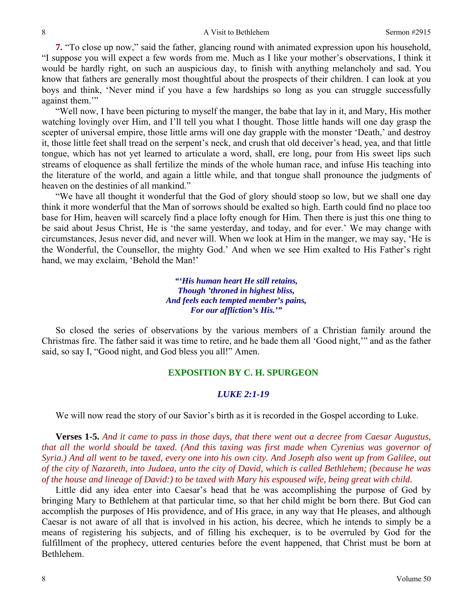**7.** "To close up now," said the father, glancing round with animated expression upon his household, "I suppose you will expect a few words from me. Much as I like your mother's observations, I think it would be hardly right, on such an auspicious day, to finish with anything melancholy and sad. You know that fathers are generally most thoughtful about the prospects of their children. I can look at you boys and think, 'Never mind if you have a few hardships so long as you can struggle successfully against them."

"Well now, I have been picturing to myself the manger, the babe that lay in it, and Mary, His mother watching lovingly over Him, and I'll tell you what I thought. Those little hands will one day grasp the scepter of universal empire, those little arms will one day grapple with the monster 'Death,' and destroy it, those little feet shall tread on the serpent's neck, and crush that old deceiver's head, yea, and that little tongue, which has not yet learned to articulate a word, shall, ere long, pour from His sweet lips such streams of eloquence as shall fertilize the minds of the whole human race, and infuse His teaching into the literature of the world, and again a little while, and that tongue shall pronounce the judgments of heaven on the destinies of all mankind."

"We have all thought it wonderful that the God of glory should stoop so low, but we shall one day think it more wonderful that the Man of sorrows should be exalted so high. Earth could find no place too base for Him, heaven will scarcely find a place lofty enough for Him. Then there is just this one thing to be said about Jesus Christ, He is 'the same yesterday, and today, and for ever.' We may change with circumstances, Jesus never did, and never will. When we look at Him in the manger, we may say, 'He is the Wonderful, the Counsellor, the mighty God.' And when we see Him exalted to His Father's right hand, we may exclaim, 'Behold the Man!'

> *"'His human heart He still retains, Though 'throned in highest bliss, And feels each tempted member's pains, For our affliction's His.'"*

So closed the series of observations by the various members of a Christian family around the Christmas fire. The father said it was time to retire, and he bade them all 'Good night,'" and as the father said, so say I, "Good night, and God bless you all!" Amen.

## **EXPOSITION BY C. H. SPURGEON**

### *LUKE 2:1-19*

We will now read the story of our Savior's birth as it is recorded in the Gospel according to Luke.

**Verses 1-5.** *And it came to pass in those days, that there went out a decree from Caesar Augustus, that all the world should be taxed. (And this taxing was first made when Cyrenius was governor of Syria.) And all went to be taxed, every one into his own city. And Joseph also went up from Galilee, out of the city of Nazareth, into Judaea, unto the city of David, which is called Bethlehem; (because he was of the house and lineage of David:) to be taxed with Mary his espoused wife, being great with child.* 

Little did any idea enter into Caesar's head that he was accomplishing the purpose of God by bringing Mary to Bethlehem at that particular time, so that her child might be born there. But God can accomplish the purposes of His providence, and of His grace, in any way that He pleases, and although Caesar is not aware of all that is involved in his action, his decree, which he intends to simply be a means of registering his subjects, and of filling his exchequer, is to be overruled by God for the fulfillment of the prophecy, uttered centuries before the event happened, that Christ must be born at Bethlehem.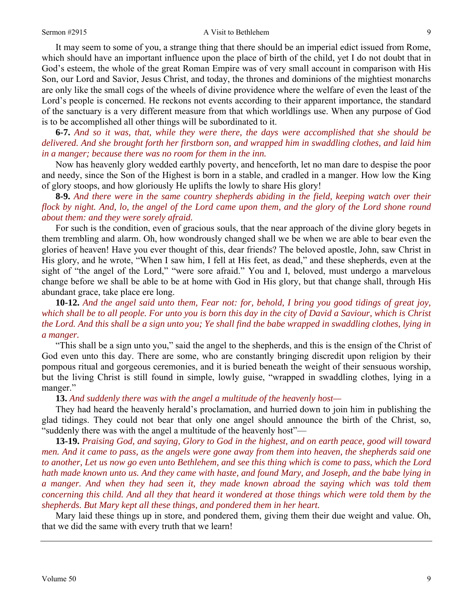#### Sermon #2915 A Visit to Bethlehem 9

It may seem to some of you, a strange thing that there should be an imperial edict issued from Rome, which should have an important influence upon the place of birth of the child, yet I do not doubt that in God's esteem, the whole of the great Roman Empire was of very small account in comparison with His Son, our Lord and Savior, Jesus Christ, and today, the thrones and dominions of the mightiest monarchs are only like the small cogs of the wheels of divine providence where the welfare of even the least of the Lord's people is concerned. He reckons not events according to their apparent importance, the standard of the sanctuary is a very different measure from that which worldlings use. When any purpose of God is to be accomplished all other things will be subordinated to it.

**6-7.** *And so it was, that, while they were there, the days were accomplished that she should be delivered. And she brought forth her firstborn son, and wrapped him in swaddling clothes, and laid him in a manger; because there was no room for them in the inn.* 

Now has heavenly glory wedded earthly poverty, and henceforth, let no man dare to despise the poor and needy, since the Son of the Highest is born in a stable, and cradled in a manger. How low the King of glory stoops, and how gloriously He uplifts the lowly to share His glory!

**8-9.** *And there were in the same country shepherds abiding in the field, keeping watch over their*  flock by night. And, lo, the angel of the Lord came upon them, and the glory of the Lord shone round *about them: and they were sorely afraid.* 

For such is the condition, even of gracious souls, that the near approach of the divine glory begets in them trembling and alarm. Oh, how wondrously changed shall we be when we are able to bear even the glories of heaven! Have you ever thought of this, dear friends? The beloved apostle, John, saw Christ in His glory, and he wrote, "When I saw him, I fell at His feet, as dead," and these shepherds, even at the sight of "the angel of the Lord," "were sore afraid." You and I, beloved, must undergo a marvelous change before we shall be able to be at home with God in His glory, but that change shall, through His abundant grace, take place ere long.

# **10-12.** *And the angel said unto them, Fear not: for, behold, I bring you good tidings of great joy, which shall be to all people. For unto you is born this day in the city of David a Saviour, which is Christ the Lord. And this shall be a sign unto you; Ye shall find the babe wrapped in swaddling clothes, lying in a manger.*

"This shall be a sign unto you," said the angel to the shepherds, and this is the ensign of the Christ of God even unto this day. There are some, who are constantly bringing discredit upon religion by their pompous ritual and gorgeous ceremonies, and it is buried beneath the weight of their sensuous worship, but the living Christ is still found in simple, lowly guise, "wrapped in swaddling clothes, lying in a manger."

**13.** *And suddenly there was with the angel a multitude of the heavenly host—* 

They had heard the heavenly herald's proclamation, and hurried down to join him in publishing the glad tidings. They could not bear that only one angel should announce the birth of the Christ, so, "suddenly there was with the angel a multitude of the heavenly host"—

**13-19.** *Praising God, and saying, Glory to God in the highest, and on earth peace, good will toward men. And it came to pass, as the angels were gone away from them into heaven, the shepherds said one to another, Let us now go even unto Bethlehem, and see this thing which is come to pass, which the Lord hath made known unto us. And they came with haste, and found Mary, and Joseph, and the babe lying in a manger. And when they had seen it, they made known abroad the saying which was told them concerning this child. And all they that heard it wondered at those things which were told them by the shepherds. But Mary kept all these things, and pondered them in her heart.* 

Mary laid these things up in store, and pondered them, giving them their due weight and value. Oh, that we did the same with every truth that we learn!